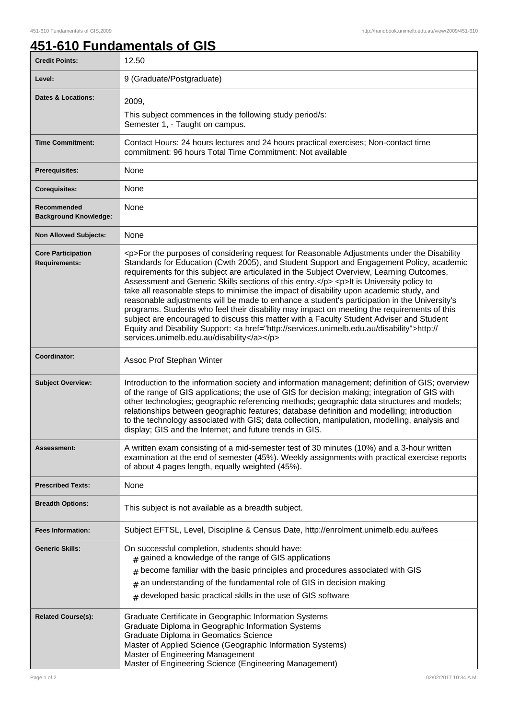## **451-610 Fundamentals of GIS**

| <b>Credit Points:</b>                             | 12.50                                                                                                                                                                                                                                                                                                                                                                                                                                                                                                                                                                                                                                                                                                                                                                                                                                                                                                                     |
|---------------------------------------------------|---------------------------------------------------------------------------------------------------------------------------------------------------------------------------------------------------------------------------------------------------------------------------------------------------------------------------------------------------------------------------------------------------------------------------------------------------------------------------------------------------------------------------------------------------------------------------------------------------------------------------------------------------------------------------------------------------------------------------------------------------------------------------------------------------------------------------------------------------------------------------------------------------------------------------|
| Level:                                            | 9 (Graduate/Postgraduate)                                                                                                                                                                                                                                                                                                                                                                                                                                                                                                                                                                                                                                                                                                                                                                                                                                                                                                 |
| <b>Dates &amp; Locations:</b>                     | 2009,                                                                                                                                                                                                                                                                                                                                                                                                                                                                                                                                                                                                                                                                                                                                                                                                                                                                                                                     |
|                                                   | This subject commences in the following study period/s:<br>Semester 1, - Taught on campus.                                                                                                                                                                                                                                                                                                                                                                                                                                                                                                                                                                                                                                                                                                                                                                                                                                |
| <b>Time Commitment:</b>                           | Contact Hours: 24 hours lectures and 24 hours practical exercises; Non-contact time<br>commitment: 96 hours Total Time Commitment: Not available                                                                                                                                                                                                                                                                                                                                                                                                                                                                                                                                                                                                                                                                                                                                                                          |
| Prerequisites:                                    | None                                                                                                                                                                                                                                                                                                                                                                                                                                                                                                                                                                                                                                                                                                                                                                                                                                                                                                                      |
| <b>Corequisites:</b>                              | None                                                                                                                                                                                                                                                                                                                                                                                                                                                                                                                                                                                                                                                                                                                                                                                                                                                                                                                      |
| Recommended<br><b>Background Knowledge:</b>       | None                                                                                                                                                                                                                                                                                                                                                                                                                                                                                                                                                                                                                                                                                                                                                                                                                                                                                                                      |
| <b>Non Allowed Subjects:</b>                      | None                                                                                                                                                                                                                                                                                                                                                                                                                                                                                                                                                                                                                                                                                                                                                                                                                                                                                                                      |
| <b>Core Participation</b><br><b>Requirements:</b> | <p>For the purposes of considering request for Reasonable Adjustments under the Disability<br/>Standards for Education (Cwth 2005), and Student Support and Engagement Policy, academic<br/>requirements for this subject are articulated in the Subject Overview, Learning Outcomes,<br/>Assessment and Generic Skills sections of this entry.</p> <p>lt is University policy to<br/>take all reasonable steps to minimise the impact of disability upon academic study, and<br/>reasonable adjustments will be made to enhance a student's participation in the University's<br/>programs. Students who feel their disability may impact on meeting the requirements of this<br/>subject are encouraged to discuss this matter with a Faculty Student Adviser and Student<br/>Equity and Disability Support: <a href="http://services.unimelb.edu.au/disability">http://<br/>services.unimelb.edu.au/disability</a></p> |
| Coordinator:                                      | Assoc Prof Stephan Winter                                                                                                                                                                                                                                                                                                                                                                                                                                                                                                                                                                                                                                                                                                                                                                                                                                                                                                 |
| <b>Subject Overview:</b>                          | Introduction to the information society and information management; definition of GIS; overview<br>of the range of GIS applications; the use of GIS for decision making; integration of GIS with<br>other technologies; geographic referencing methods; geographic data structures and models;<br>relationships between geographic features; database definition and modelling; introduction<br>to the technology associated with GIS; data collection, manipulation, modelling, analysis and<br>display; GIS and the Internet; and future trends in GIS.                                                                                                                                                                                                                                                                                                                                                                 |
| Assessment:                                       | A written exam consisting of a mid-semester test of 30 minutes (10%) and a 3-hour written<br>examination at the end of semester (45%). Weekly assignments with practical exercise reports<br>of about 4 pages length, equally weighted (45%).                                                                                                                                                                                                                                                                                                                                                                                                                                                                                                                                                                                                                                                                             |
| <b>Prescribed Texts:</b>                          | None                                                                                                                                                                                                                                                                                                                                                                                                                                                                                                                                                                                                                                                                                                                                                                                                                                                                                                                      |
| <b>Breadth Options:</b>                           | This subject is not available as a breadth subject.                                                                                                                                                                                                                                                                                                                                                                                                                                                                                                                                                                                                                                                                                                                                                                                                                                                                       |
| <b>Fees Information:</b>                          | Subject EFTSL, Level, Discipline & Census Date, http://enrolment.unimelb.edu.au/fees                                                                                                                                                                                                                                                                                                                                                                                                                                                                                                                                                                                                                                                                                                                                                                                                                                      |
| <b>Generic Skills:</b>                            | On successful completion, students should have:<br>$#$ gained a knowledge of the range of GIS applications<br>become familiar with the basic principles and procedures associated with GIS<br>an understanding of the fundamental role of GIS in decision making<br>#<br>developed basic practical skills in the use of GIS software<br>$\#$                                                                                                                                                                                                                                                                                                                                                                                                                                                                                                                                                                              |
| <b>Related Course(s):</b>                         | Graduate Certificate in Geographic Information Systems<br>Graduate Diploma in Geographic Information Systems<br>Graduate Diploma in Geomatics Science<br>Master of Applied Science (Geographic Information Systems)<br>Master of Engineering Management<br>Master of Engineering Science (Engineering Management)                                                                                                                                                                                                                                                                                                                                                                                                                                                                                                                                                                                                         |